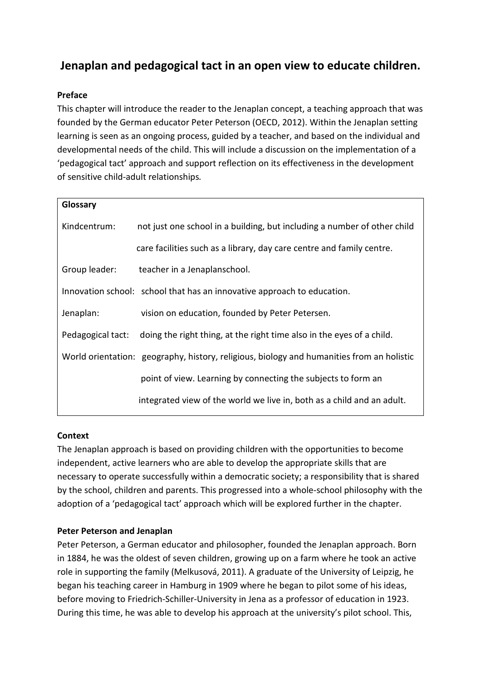# **Jenaplan and pedagogical tact in an open view to educate children.**

# **Preface**

This chapter will introduce the reader to the Jenaplan concept, a teaching approach that was founded by the German educator Peter Peterson (OECD, 2012). Within the Jenaplan setting learning is seen as an ongoing process, guided by a teacher, and based on the individual and developmental needs of the child. This will include a discussion on the implementation of a 'pedagogical tact' approach and support reflection on its effectiveness in the development of sensitive child-adult relationships*.* 

| Glossary          |                                                                                           |
|-------------------|-------------------------------------------------------------------------------------------|
| Kindcentrum:      | not just one school in a building, but including a number of other child                  |
|                   | care facilities such as a library, day care centre and family centre.                     |
| Group leader:     | teacher in a Jenaplanschool.                                                              |
|                   | Innovation school: school that has an innovative approach to education.                   |
| Jenaplan:         | vision on education, founded by Peter Petersen.                                           |
| Pedagogical tact: | doing the right thing, at the right time also in the eyes of a child.                     |
|                   | World orientation: geography, history, religious, biology and humanities from an holistic |
|                   | point of view. Learning by connecting the subjects to form an                             |
|                   | integrated view of the world we live in, both as a child and an adult.                    |

# **Context**

The Jenaplan approach is based on providing children with the opportunities to become independent, active learners who are able to develop the appropriate skills that are necessary to operate successfully within a democratic society; a responsibility that is shared by the school, children and parents. This progressed into a whole-school philosophy with the adoption of a 'pedagogical tact' approach which will be explored further in the chapter.

# **Peter Peterson and Jenaplan**

Peter Peterson, a German educator and philosopher, founded the Jenaplan approach. Born in 1884, he was the oldest of seven children, growing up on a farm where he took an active role in supporting the family (Melkusová, 2011). A graduate of the University of Leipzig, he began his teaching career in Hamburg in 1909 where he began to pilot some of his ideas, before moving to Friedrich-Schiller-University in Jena as a professor of education in 1923. During this time, he was able to develop his approach at the university's pilot school. This,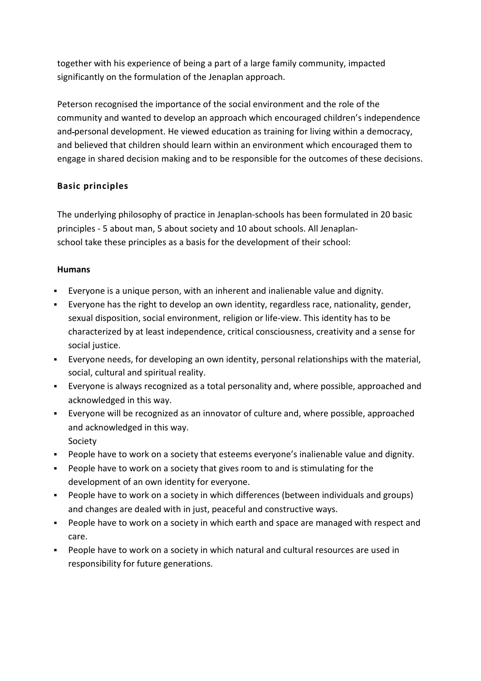together with his experience of being a part of a large family community, impacted significantly on the formulation of the Jenaplan approach.

Peterson recognised the importance of the social environment and the role of the community and wanted to develop an approach which encouraged children's independence and personal development. He viewed education as training for living within a democracy, and believed that children should learn within an environment which encouraged them to engage in shared decision making and to be responsible for the outcomes of these decisions.

# **Basic principles**

The underlying philosophy of practice in Jenaplan-schools has been formulated in 20 basic principles - 5 about man, 5 about society and 10 about schools. All Jenaplanschool take these principles as a basis for the development of their school:

# **Humans**

- Everyone is a unique person, with an inherent and inalienable value and dignity.
- Everyone has the right to develop an own identity, regardless race, nationality, gender, sexual disposition, social environment, religion or life-view. This identity has to be characterized by at least independence, critical consciousness, creativity and a sense for social justice.
- Everyone needs, for developing an own identity, personal relationships with the material, social, cultural and spiritual reality.
- Everyone is always recognized as a total personality and, where possible, approached and acknowledged in this way.
- Everyone will be recognized as an innovator of culture and, where possible, approached and acknowledged in this way. Society
- People have to work on a society that esteems everyone's inalienable value and dignity.
- People have to work on a society that gives room to and is stimulating for the development of an own identity for everyone.
- People have to work on a society in which differences (between individuals and groups) and changes are dealed with in just, peaceful and constructive ways.
- People have to work on a society in which earth and space are managed with respect and care.
- People have to work on a society in which natural and cultural resources are used in responsibility for future generations.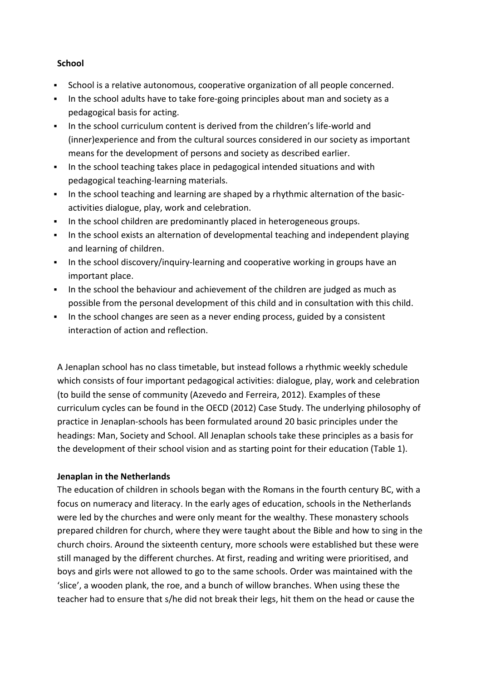#### **School**

- School is a relative autonomous, cooperative organization of all people concerned.
- In the school adults have to take fore-going principles about man and society as a pedagogical basis for acting.
- In the school curriculum content is derived from the children's life-world and (inner)experience and from the cultural sources considered in our society as important means for the development of persons and society as described earlier.
- In the school teaching takes place in pedagogical intended situations and with pedagogical teaching-learning materials.
- In the school teaching and learning are shaped by a rhythmic alternation of the basicactivities dialogue, play, work and celebration.
- In the school children are predominantly placed in heterogeneous groups.
- In the school exists an alternation of developmental teaching and independent playing and learning of children.
- **IF In the school discovery/inquiry-learning and cooperative working in groups have an** important place.
- In the school the behaviour and achievement of the children are judged as much as possible from the personal development of this child and in consultation with this child.
- In the school changes are seen as a never ending process, guided by a consistent interaction of action and reflection.

A Jenaplan school has no class timetable, but instead follows a rhythmic weekly schedule which consists of four important pedagogical activities: dialogue, play, work and celebration (to build the sense of community (Azevedo and Ferreira, 2012). Examples of these curriculum cycles can be found in the OECD (2012) Case Study. The underlying philosophy of practice in Jenaplan-schools has been formulated around 20 basic principles under the headings: Man, Society and School. All Jenaplan schools take these principles as a basis for the development of their school vision and as starting point for their education (Table 1).

# **Jenaplan in the Netherlands**

The education of children in schools began with the Romans in the fourth century BC, with a focus on numeracy and literacy. In the early ages of education, schools in the Netherlands were led by the churches and were only meant for the wealthy. These monastery schools prepared children for church, where they were taught about the Bible and how to sing in the church choirs. Around the sixteenth century, more schools were established but these were still managed by the different churches. At first, reading and writing were prioritised, and boys and girls were not allowed to go to the same schools. Order was maintained with the 'slice', a wooden plank, the roe, and a bunch of willow branches. When using these the teacher had to ensure that s/he did not break their legs, hit them on the head or cause the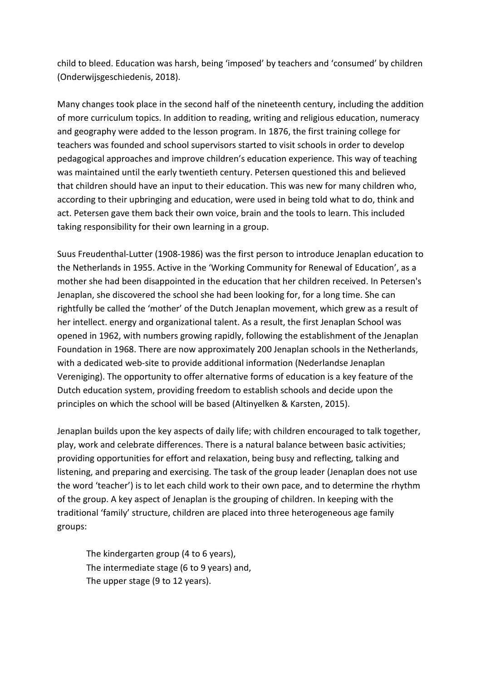child to bleed. Education was harsh, being 'imposed' by teachers and 'consumed' by children (Onderwijsgeschiedenis, 2018).

Many changes took place in the second half of the nineteenth century, including the addition of more curriculum topics. In addition to reading, writing and religious education, numeracy and geography were added to the lesson program. In 1876, the first training college for teachers was founded and school supervisors started to visit schools in order to develop pedagogical approaches and improve children's education experience. This way of teaching was maintained until the early twentieth century. Petersen questioned this and believed that children should have an input to their education. This was new for many children who, according to their upbringing and education, were used in being told what to do, think and act. Petersen gave them back their own voice, brain and the tools to learn. This included taking responsibility for their own learning in a group.

Suus Freudenthal-Lutter (1908-1986) was the first person to introduce Jenaplan education to the Netherlands in 1955. Active in the 'Working Community for Renewal of Education', as a mother she had been disappointed in the education that her children received. In Petersen's Jenaplan, she discovered the school she had been looking for, for a long time. She can rightfully be called the 'mother' of the Dutch Jenaplan movement, which grew as a result of her intellect. energy and organizational talent. As a result, the first Jenaplan School was opened in 1962, with numbers growing rapidly, following the establishment of the Jenaplan Foundation in 1968. There are now approximately 200 Jenaplan schools in the Netherlands, with a dedicated web-site to provide additional information (Nederlandse Jenaplan Vereniging). The opportunity to offer alternative forms of education is a key feature of the Dutch education system, providing freedom to establish schools and decide upon the principles on which the school will be based (Altinyelken & Karsten, 2015).

Jenaplan builds upon the key aspects of daily life; with children encouraged to talk together, play, work and celebrate differences. There is a natural balance between basic activities; providing opportunities for effort and relaxation, being busy and reflecting, talking and listening, and preparing and exercising. The task of the group leader (Jenaplan does not use the word 'teacher') is to let each child work to their own pace, and to determine the rhythm of the group. A key aspect of Jenaplan is the grouping of children. In keeping with the traditional 'family' structure, children are placed into three heterogeneous age family groups:

The kindergarten group (4 to 6 years), The intermediate stage (6 to 9 years) and, The upper stage (9 to 12 years).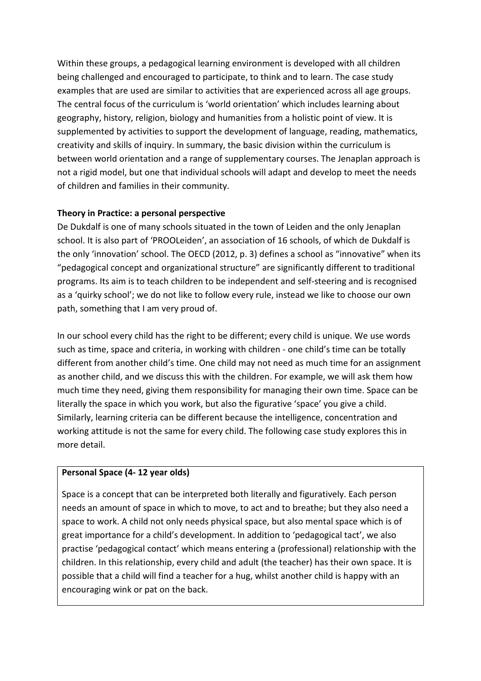Within these groups, a pedagogical learning environment is developed with all children being challenged and encouraged to participate, to think and to learn. The case study examples that are used are similar to activities that are experienced across all age groups. The central focus of the curriculum is 'world orientation' which includes learning about geography, history, religion, biology and humanities from a holistic point of view. It is supplemented by activities to support the development of language, reading, mathematics, creativity and skills of inquiry. In summary, the basic division within the curriculum is between world orientation and a range of supplementary courses. The Jenaplan approach is not a rigid model, but one that individual schools will adapt and develop to meet the needs of children and families in their community.

# **Theory in Practice: a personal perspective**

De Dukdalf is one of many schools situated in the town of Leiden and the only Jenaplan school. It is also part of 'PROOLeiden', an association of 16 schools, of which de Dukdalf is the only 'innovation' school. The OECD (2012, p. 3) defines a school as "innovative" when its "pedagogical concept and organizational structure" are significantly different to traditional programs. Its aim is to teach children to be independent and self-steering and is recognised as a 'quirky school'; we do not like to follow every rule, instead we like to choose our own path, something that I am very proud of.

In our school every child has the right to be different; every child is unique. We use words such as time, space and criteria, in working with children - one child's time can be totally different from another child's time. One child may not need as much time for an assignment as another child, and we discuss this with the children. For example, we will ask them how much time they need, giving them responsibility for managing their own time. Space can be literally the space in which you work, but also the figurative 'space' you give a child. Similarly, learning criteria can be different because the intelligence, concentration and working attitude is not the same for every child. The following case study explores this in more detail.

# **Personal Space (4- 12 year olds)**

Space is a concept that can be interpreted both literally and figuratively. Each person needs an amount of space in which to move, to act and to breathe; but they also need a space to work. A child not only needs physical space, but also mental space which is of great importance for a child's development. In addition to 'pedagogical tact', we also practise 'pedagogical contact' which means entering a (professional) relationship with the children. In this relationship, every child and adult (the teacher) has their own space. It is possible that a child will find a teacher for a hug, whilst another child is happy with an encouraging wink or pat on the back.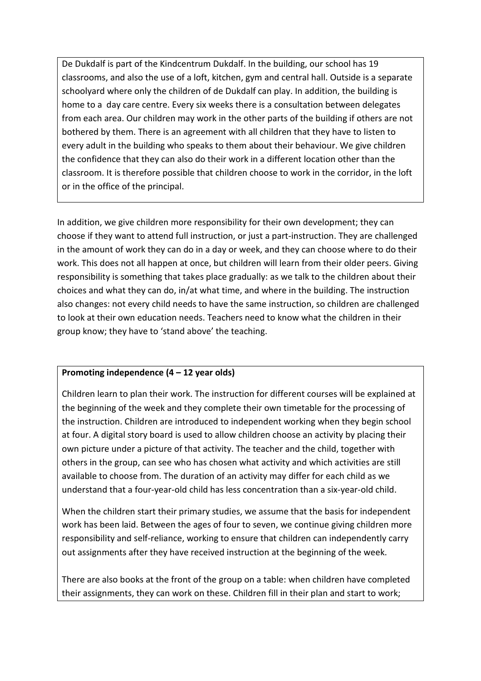De Dukdalf is part of the Kindcentrum Dukdalf. In the building, our school has 19 classrooms, and also the use of a loft, kitchen, gym and central hall. Outside is a separate schoolyard where only the children of de Dukdalf can play. In addition, the building is home to a day care centre. Every six weeks there is a consultation between delegates from each area. Our children may work in the other parts of the building if others are not bothered by them. There is an agreement with all children that they have to listen to every adult in the building who speaks to them about their behaviour. We give children the confidence that they can also do their work in a different location other than the classroom. It is therefore possible that children choose to work in the corridor, in the loft or in the office of the principal.

In addition, we give children more responsibility for their own development; they can choose if they want to attend full instruction, or just a part-instruction. They are challenged in the amount of work they can do in a day or week, and they can choose where to do their work. This does not all happen at once, but children will learn from their older peers. Giving responsibility is something that takes place gradually: as we talk to the children about their choices and what they can do, in/at what time, and where in the building. The instruction also changes: not every child needs to have the same instruction, so children are challenged to look at their own education needs. Teachers need to know what the children in their group know; they have to 'stand above' the teaching.

# **Promoting independence (4 – 12 year olds)**

Children learn to plan their work. The instruction for different courses will be explained at the beginning of the week and they complete their own timetable for the processing of the instruction. Children are introduced to independent working when they begin school at four. A digital story board is used to allow children choose an activity by placing their own picture under a picture of that activity. The teacher and the child, together with others in the group, can see who has chosen what activity and which activities are still available to choose from. The duration of an activity may differ for each child as we understand that a four-year-old child has less concentration than a six-year-old child.

When the children start their primary studies, we assume that the basis for independent work has been laid. Between the ages of four to seven, we continue giving children more responsibility and self-reliance, working to ensure that children can independently carry out assignments after they have received instruction at the beginning of the week.

There are also books at the front of the group on a table: when children have completed their assignments, they can work on these. Children fill in their plan and start to work;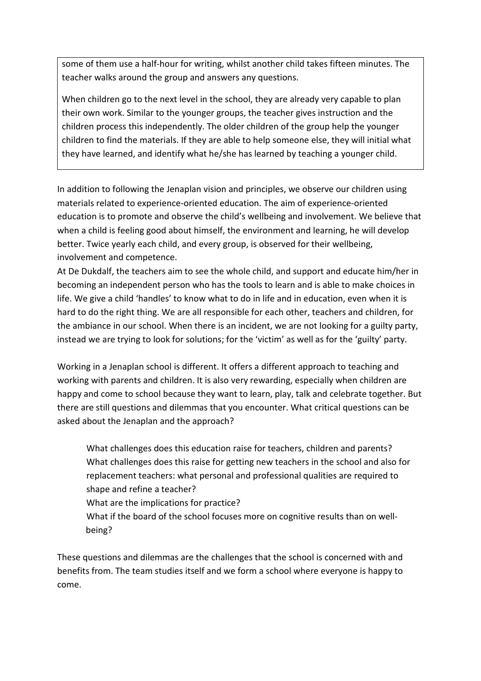some of them use a half-hour for writing, whilst another child takes fifteen minutes. The teacher walks around the group and answers any questions.

When children go to the next level in the school, they are already very capable to plan their own work. Similar to the younger groups, the teacher gives instruction and the children process this independently. The older children of the group help the younger children to find the materials. If they are able to help someone else, they will initial what they have learned, and identify what he/she has learned by teaching a younger child.

In addition to following the Jenaplan vision and principles, we observe our children using materials related to experience-oriented education. The aim of experience-oriented education is to promote and observe the child's wellbeing and involvement. We believe that when a child is feeling good about himself, the environment and learning, he will develop better. Twice yearly each child, and every group, is observed for their wellbeing, involvement and competence.

At De Dukdalf, the teachers aim to see the whole child, and support and educate him/her in becoming an independent person who has the tools to learn and is able to make choices in life. We give a child 'handles' to know what to do in life and in education, even when it is hard to do the right thing. We are all responsible for each other, teachers and children, for the ambiance in our school. When there is an incident, we are not looking for a guilty party, instead we are trying to look for solutions; for the 'victim' as well as for the 'guilty' party.

Working in a Jenaplan school is different. It offers a different approach to teaching and working with parents and children. It is also very rewarding, especially when children are happy and come to school because they want to learn, play, talk and celebrate together. But there are still questions and dilemmas that you encounter. What critical questions can be asked about the Jenaplan and the approach?

What challenges does this education raise for teachers, children and parents? What challenges does this raise for getting new teachers in the school and also for replacement teachers: what personal and professional qualities are required to shape and refine a teacher?

What are the implications for practice?

What if the board of the school focuses more on cognitive results than on wellbeing?

These questions and dilemmas are the challenges that the school is concerned with and benefits from. The team studies itself and we form a school where everyone is happy to come.